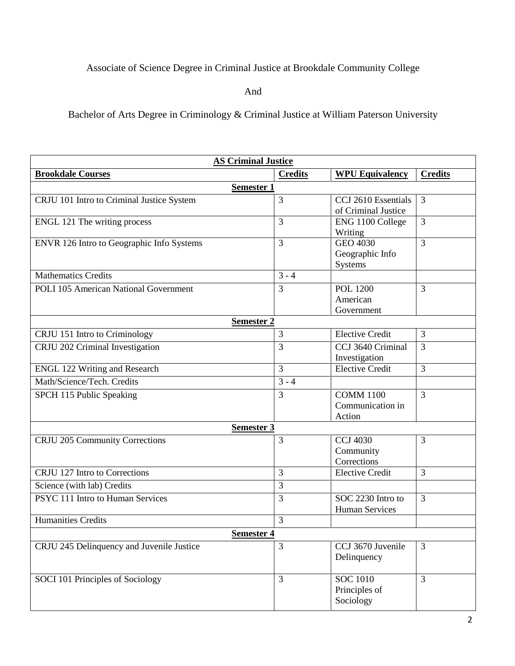## Associate of Science Degree in Criminal Justice at Brookdale Community College

And

Bachelor of Arts Degree in Criminology & Criminal Justice at William Paterson University

| <b>AS Criminal Justice</b>                |                |                                                |                |
|-------------------------------------------|----------------|------------------------------------------------|----------------|
| <b>Brookdale Courses</b>                  | <b>Credits</b> | <b>WPU Equivalency</b>                         | <b>Credits</b> |
| <b>Semester 1</b>                         |                |                                                |                |
| CRJU 101 Intro to Criminal Justice System | 3              | CCJ 2610 Essentials<br>of Criminal Justice     | $\overline{3}$ |
| ENGL 121 The writing process              | 3              | ENG 1100 College<br>Writing                    | $\overline{3}$ |
| ENVR 126 Intro to Geographic Info Systems | 3              | GEO 4030<br>Geographic Info<br>Systems         | $\overline{3}$ |
| <b>Mathematics Credits</b>                | $3 - 4$        |                                                |                |
| POLI 105 American National Government     | 3              | <b>POL 1200</b><br>American<br>Government      | $\overline{3}$ |
| <b>Semester 2</b>                         |                |                                                |                |
| CRJU 151 Intro to Criminology             | 3              | <b>Elective Credit</b>                         | 3              |
| CRJU 202 Criminal Investigation           | 3              | CCJ 3640 Criminal<br>Investigation             | 3              |
| <b>ENGL 122 Writing and Research</b>      | 3              | <b>Elective Credit</b>                         | 3              |
| Math/Science/Tech. Credits                | $3 - 4$        |                                                |                |
| SPCH 115 Public Speaking                  | 3              | <b>COMM 1100</b><br>Communication in<br>Action | 3              |
| <b>Semester 3</b>                         |                |                                                |                |
| CRJU 205 Community Corrections            | 3              | <b>CCJ 4030</b><br>Community<br>Corrections    | 3              |
| CRJU 127 Intro to Corrections             | 3              | <b>Elective Credit</b>                         | 3              |
| Science (with lab) Credits                | 3              |                                                |                |
| PSYC 111 Intro to Human Services          | 3              | SOC 2230 Intro to<br>Human Services            | 3              |
| <b>Humanities Credits</b>                 | 3              |                                                |                |
| Semester 4                                |                |                                                |                |
| CRJU 245 Delinquency and Juvenile Justice | 3              | CCJ 3670 Juvenile<br>Delinquency               | 3              |
| SOCI 101 Principles of Sociology          | 3              | <b>SOC 1010</b><br>Principles of<br>Sociology  | 3              |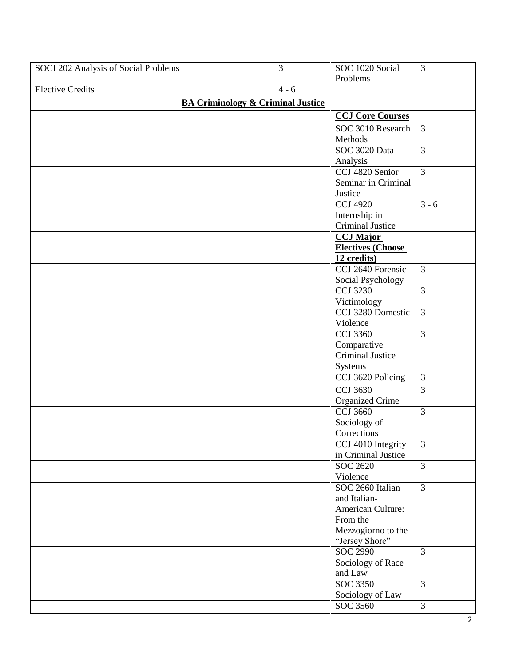| SOCI 202 Analysis of Social Problems         | 3       | SOC 1020 Social          | $\overline{3}$ |
|----------------------------------------------|---------|--------------------------|----------------|
|                                              |         | Problems                 |                |
| <b>Elective Credits</b>                      | $4 - 6$ |                          |                |
| <b>BA Criminology &amp; Criminal Justice</b> |         |                          |                |
|                                              |         | <b>CCJ Core Courses</b>  |                |
|                                              |         | SOC 3010 Research        | $\mathfrak{Z}$ |
|                                              |         | Methods                  |                |
|                                              |         | SOC 3020 Data            | $\overline{3}$ |
|                                              |         | Analysis                 |                |
|                                              |         | CCJ 4820 Senior          | $\overline{3}$ |
|                                              |         | Seminar in Criminal      |                |
|                                              |         | Justice                  |                |
|                                              |         | <b>CCJ 4920</b>          | $3 - 6$        |
|                                              |         |                          |                |
|                                              |         | Internship in            |                |
|                                              |         | Criminal Justice         |                |
|                                              |         | <b>CCJ</b> Major         |                |
|                                              |         | <b>Electives (Choose</b> |                |
|                                              |         | 12 credits)              |                |
|                                              |         | CCJ 2640 Forensic        | $\overline{3}$ |
|                                              |         | Social Psychology        |                |
|                                              |         | <b>CCJ 3230</b>          | $\overline{3}$ |
|                                              |         | Victimology              |                |
|                                              |         | CCJ 3280 Domestic        | $\overline{3}$ |
|                                              |         | Violence                 |                |
|                                              |         | <b>CCJ 3360</b>          | $\overline{3}$ |
|                                              |         | Comparative              |                |
|                                              |         | <b>Criminal Justice</b>  |                |
|                                              |         | Systems                  |                |
|                                              |         | CCJ 3620 Policing        | $\overline{3}$ |
|                                              |         | <b>CCJ 3630</b>          | 3              |
|                                              |         | <b>Organized Crime</b>   |                |
|                                              |         | <b>CCJ 3660</b>          | $\overline{3}$ |
|                                              |         | Sociology of             |                |
|                                              |         | Corrections              |                |
|                                              |         | CCJ 4010 Integrity       | $\mathfrak{Z}$ |
|                                              |         | in Criminal Justice      |                |
|                                              |         | SOC 2620                 | $\overline{3}$ |
|                                              |         | Violence                 |                |
|                                              |         | SOC 2660 Italian         | $\overline{3}$ |
|                                              |         | and Italian-             |                |
|                                              |         | American Culture:        |                |
|                                              |         | From the                 |                |
|                                              |         | Mezzogiorno to the       |                |
|                                              |         | "Jersey Shore"           |                |
|                                              |         | <b>SOC 2990</b>          | $\overline{3}$ |
|                                              |         | Sociology of Race        |                |
|                                              |         | and Law                  |                |
|                                              |         | <b>SOC 3350</b>          | $\overline{3}$ |
|                                              |         | Sociology of Law         |                |
|                                              |         | SOC 3560                 | $\overline{3}$ |
|                                              |         |                          |                |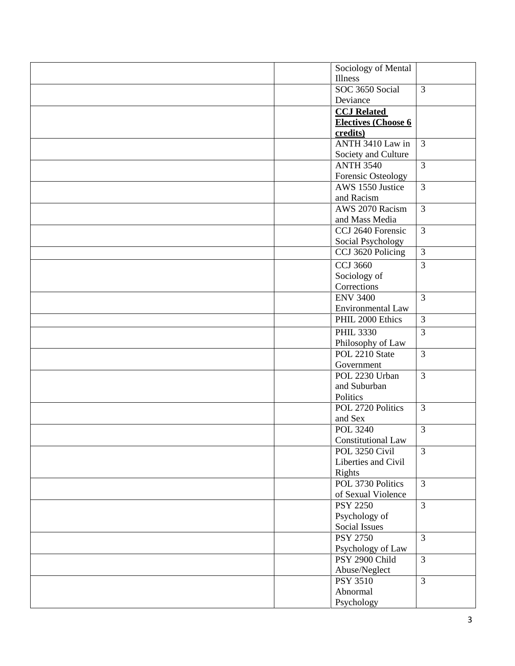|  | Sociology of Mental                 |                |
|--|-------------------------------------|----------------|
|  | Illness                             |                |
|  | SOC 3650 Social                     | $\overline{3}$ |
|  | Deviance                            |                |
|  | <b>CCJ</b> Related                  |                |
|  | <b>Electives (Choose 6</b>          |                |
|  | credits)                            |                |
|  | ANTH 3410 Law in                    | 3              |
|  | Society and Culture                 |                |
|  | <b>ANTH 3540</b>                    | $\overline{3}$ |
|  | Forensic Osteology                  |                |
|  | AWS 1550 Justice                    | 3              |
|  | and Racism                          |                |
|  | AWS 2070 Racism                     | $\overline{3}$ |
|  | and Mass Media                      |                |
|  | CCJ 2640 Forensic                   | $\overline{3}$ |
|  | Social Psychology                   |                |
|  | CCJ 3620 Policing                   | $\overline{3}$ |
|  | <b>CCJ 3660</b>                     | $\overline{3}$ |
|  | Sociology of                        |                |
|  | Corrections                         |                |
|  | <b>ENV 3400</b>                     | $\overline{3}$ |
|  | Environmental Law                   |                |
|  | PHIL 2000 Ethics                    | $\overline{3}$ |
|  |                                     |                |
|  | <b>PHIL 3330</b>                    | $\overline{3}$ |
|  | Philosophy of Law<br>POL 2210 State |                |
|  |                                     | $\overline{3}$ |
|  | Government                          |                |
|  | POL 2230 Urban                      | $\overline{3}$ |
|  | and Suburban                        |                |
|  | Politics<br>POL 2720 Politics       |                |
|  |                                     | $\overline{3}$ |
|  | and Sex<br><b>POL 3240</b>          | $\overline{3}$ |
|  |                                     |                |
|  | Constitutional Law                  |                |
|  | POL 3250 Civil                      | $\overline{3}$ |
|  | Liberties and Civil                 |                |
|  | Rights                              |                |
|  | POL 3730 Politics                   | $\overline{3}$ |
|  | of Sexual Violence                  |                |
|  | <b>PSY 2250</b>                     | $\overline{3}$ |
|  | Psychology of                       |                |
|  | Social Issues                       |                |
|  | <b>PSY 2750</b>                     | 3              |
|  | Psychology of Law                   |                |
|  | PSY 2900 Child                      | $\overline{3}$ |
|  | Abuse/Neglect                       |                |
|  | <b>PSY 3510</b>                     | $\overline{3}$ |
|  | Abnormal                            |                |
|  | Psychology                          |                |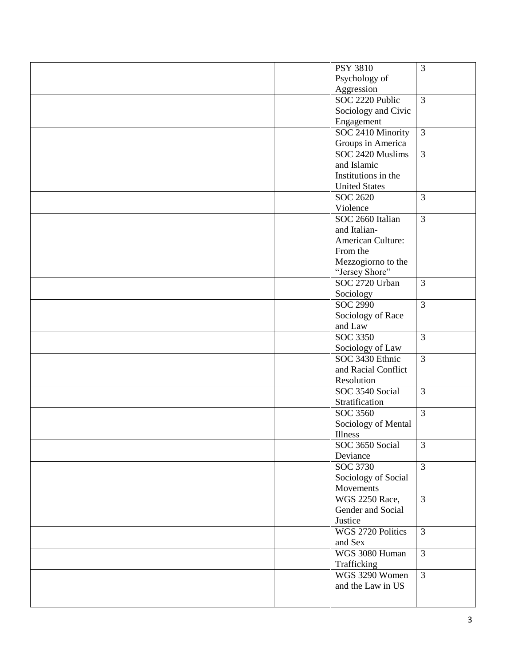|  | <b>PSY 3810</b>                     | $\overline{3}$ |
|--|-------------------------------------|----------------|
|  | Psychology of                       |                |
|  | Aggression                          |                |
|  | SOC 2220 Public                     | $\overline{3}$ |
|  | Sociology and Civic                 |                |
|  | Engagement                          |                |
|  | SOC 2410 Minority                   | $\overline{3}$ |
|  | Groups in America                   |                |
|  | SOC 2420 Muslims                    | $\overline{3}$ |
|  | and Islamic                         |                |
|  | Institutions in the                 |                |
|  | <b>United States</b>                |                |
|  | SOC 2620                            | $\overline{3}$ |
|  | Violence                            |                |
|  | SOC 2660 Italian                    | $\overline{3}$ |
|  | and Italian-                        |                |
|  | <b>American Culture:</b>            |                |
|  | From the                            |                |
|  | Mezzogiorno to the                  |                |
|  | "Jersey Shore"                      |                |
|  | SOC 2720 Urban                      | $\overline{3}$ |
|  | Sociology                           |                |
|  | SOC 2990                            | $\overline{3}$ |
|  |                                     |                |
|  | Sociology of Race                   |                |
|  | and Law<br>SOC 3350                 | $\overline{3}$ |
|  |                                     |                |
|  | Sociology of Law<br>SOC 3430 Ethnic | $\overline{3}$ |
|  |                                     |                |
|  | and Racial Conflict                 |                |
|  | Resolution                          |                |
|  | SOC 3540 Social                     | 3              |
|  | Stratification                      |                |
|  | SOC 3560                            | $\overline{3}$ |
|  | Sociology of Mental                 |                |
|  | Illness                             |                |
|  | SOC 3650 Social                     | 3              |
|  | Deviance                            |                |
|  | SOC 3730                            | $\overline{3}$ |
|  | Sociology of Social                 |                |
|  | Movements                           |                |
|  | <b>WGS 2250 Race,</b>               | $\overline{3}$ |
|  | Gender and Social                   |                |
|  | Justice                             |                |
|  | WGS 2720 Politics                   | $\mathfrak{Z}$ |
|  | and Sex                             |                |
|  | WGS 3080 Human                      | $\overline{3}$ |
|  | Trafficking                         |                |
|  | WGS 3290 Women                      | $\overline{3}$ |
|  | and the Law in US                   |                |
|  |                                     |                |
|  |                                     |                |